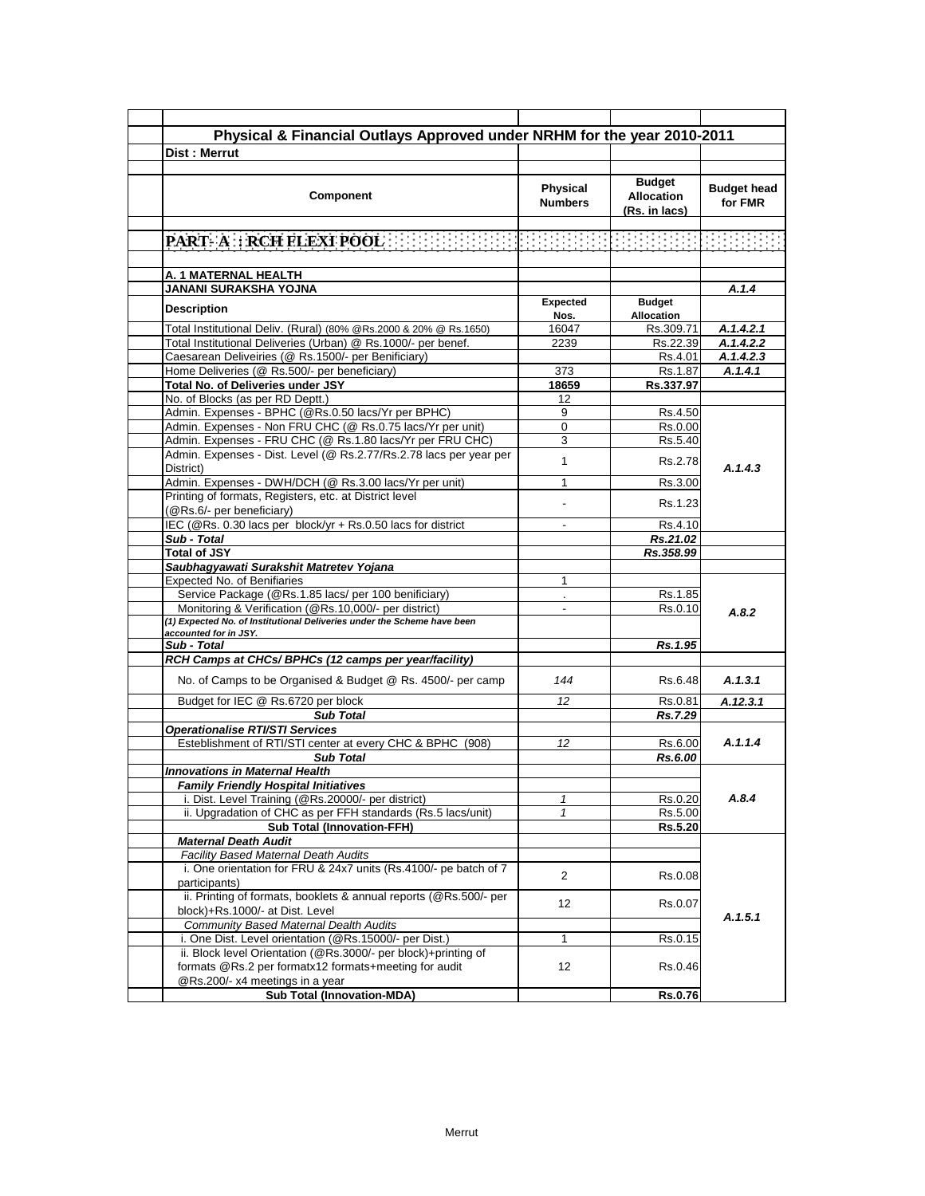|                                                                                                                         |                            | Physical & Financial Outlays Approved under NRHM for the year 2010-2011 |                               |
|-------------------------------------------------------------------------------------------------------------------------|----------------------------|-------------------------------------------------------------------------|-------------------------------|
| Dist: Merrut                                                                                                            |                            |                                                                         |                               |
|                                                                                                                         |                            |                                                                         |                               |
| Component                                                                                                               | Physical<br><b>Numbers</b> | <b>Budget</b><br><b>Allocation</b><br>(Rs. in lacs)                     | <b>Budget head</b><br>for FMR |
|                                                                                                                         |                            |                                                                         |                               |
|                                                                                                                         |                            |                                                                         |                               |
| A. 1 MATERNAL HEALTH                                                                                                    |                            |                                                                         |                               |
| <b>JANANI SURAKSHA YOJNA</b>                                                                                            |                            |                                                                         | A.1.4                         |
| <b>Description</b>                                                                                                      | <b>Expected</b><br>Nos.    | <b>Budget</b><br><b>Allocation</b>                                      |                               |
| Total Institutional Deliv. (Rural) (80% @Rs.2000 & 20% @ Rs.1650)                                                       | 16047                      | Rs.309.71                                                               | A.1.4.2.1                     |
| Total Institutional Deliveries (Urban) @ Rs.1000/- per benef.                                                           | 2239                       | Rs.22.39                                                                | A.1.4.2.2                     |
| Caesarean Deliveiries (@ Rs.1500/- per Benificiary)                                                                     |                            | Rs.4.01                                                                 | A.1.4.2.3                     |
| Home Deliveries (@ Rs.500/- per beneficiary)                                                                            | 373                        | Rs.1.87                                                                 | A.1.4.1                       |
| Total No. of Deliveries under JSY                                                                                       | 18659                      | Rs.337.97                                                               |                               |
| No. of Blocks (as per RD Deptt.)                                                                                        | 12                         |                                                                         |                               |
| Admin. Expenses - BPHC (@Rs.0.50 lacs/Yr per BPHC)                                                                      | 9                          | Rs.4.50                                                                 |                               |
| Admin. Expenses - Non FRU CHC (@ Rs.0.75 lacs/Yr per unit)                                                              | 0                          | Rs.0.00                                                                 |                               |
| Admin. Expenses - FRU CHC (@ Rs.1.80 lacs/Yr per FRU CHC)                                                               | 3                          | Rs.5.40                                                                 |                               |
| Admin. Expenses - Dist. Level (@ Rs.2.77/Rs.2.78 lacs per year per<br>District)                                         | $\mathbf{1}$               | Rs.2.78                                                                 | A.1.4.3                       |
| Admin. Expenses - DWH/DCH (@ Rs.3.00 lacs/Yr per unit)                                                                  | 1                          | Rs.3.00                                                                 |                               |
| Printing of formats, Registers, etc. at District level<br>(@Rs.6/- per beneficiary)                                     |                            | Rs.1.23                                                                 |                               |
| IEC (@Rs. 0.30 lacs per block/yr + Rs.0.50 lacs for district                                                            |                            | Rs.4.10                                                                 |                               |
| Sub - Total                                                                                                             |                            | Rs.21.02                                                                |                               |
| <b>Total of JSY</b>                                                                                                     |                            | Rs.358.99                                                               |                               |
| Saubhagyawati Surakshit Matretev Yojana                                                                                 |                            |                                                                         |                               |
| Expected No. of Benifiaries                                                                                             | $\mathbf{1}$               |                                                                         |                               |
| Service Package (@Rs.1.85 lacs/ per 100 benificiary)                                                                    |                            | Rs.1.85                                                                 |                               |
| Monitoring & Verification (@Rs.10,000/- per district)                                                                   | $\blacksquare$             | Rs.0.10                                                                 | A.8.2                         |
| (1) Expected No. of Institutional Deliveries under the Scheme have been<br>accounted for in JSY.                        |                            |                                                                         |                               |
| Sub - Total                                                                                                             |                            | Rs.1.95                                                                 |                               |
| RCH Camps at CHCs/ BPHCs (12 camps per year/facility)                                                                   |                            |                                                                         |                               |
| No. of Camps to be Organised & Budget @ Rs. 4500/- per camp                                                             | 144                        | Rs.6.48                                                                 | A.1.3.1                       |
| Budget for IEC @ Rs.6720 per block                                                                                      | 12                         | Rs.0.81                                                                 | A.12.3.1                      |
| <b>Sub Total</b>                                                                                                        |                            | Rs.7.29                                                                 |                               |
| <b>Operationalise RTI/STI Services</b>                                                                                  |                            |                                                                         |                               |
| Esteblishment of RTI/STI center at every CHC & BPHC (908)                                                               | 12                         | Rs.6.00                                                                 | A.1.1.4                       |
| <b>Sub Total</b>                                                                                                        |                            | Rs.6.00                                                                 |                               |
| <b>Innovations in Maternal Health</b>                                                                                   |                            |                                                                         |                               |
| <b>Family Friendly Hospital Initiatives</b>                                                                             |                            |                                                                         |                               |
| i. Dist. Level Training (@Rs.20000/- per district)                                                                      | 1                          | Rs.0.20                                                                 | A.8.4                         |
| ii. Upgradation of CHC as per FFH standards (Rs.5 lacs/unit)                                                            | 1                          | Rs.5.00                                                                 |                               |
| <b>Sub Total (Innovation-FFH)</b>                                                                                       |                            | <b>Rs.5.20</b>                                                          |                               |
| <b>Maternal Death Audit</b>                                                                                             |                            |                                                                         |                               |
| <b>Facility Based Maternal Death Audits</b>                                                                             |                            |                                                                         |                               |
| i. One orientation for FRU & 24x7 units (Rs.4100/- pe batch of 7<br>participants)                                       | 2                          | Rs.0.08                                                                 |                               |
| ii. Printing of formats, booklets & annual reports (@Rs.500/- per<br>block)+Rs.1000/- at Dist. Level                    | 12                         | Rs.0.07                                                                 |                               |
| <b>Community Based Maternal Dealth Audits</b>                                                                           |                            |                                                                         | A.1.5.1                       |
| i. One Dist. Level orientation (@Rs.15000/- per Dist.)                                                                  | $\mathbf 1$                | Rs.0.15                                                                 |                               |
| ii. Block level Orientation (@Rs.3000/- per block)+printing of<br>formats @Rs.2 per formatx12 formats+meeting for audit | 12                         | Rs.0.46                                                                 |                               |
| @Rs.200/- x4 meetings in a year                                                                                         |                            |                                                                         |                               |
|                                                                                                                         |                            |                                                                         |                               |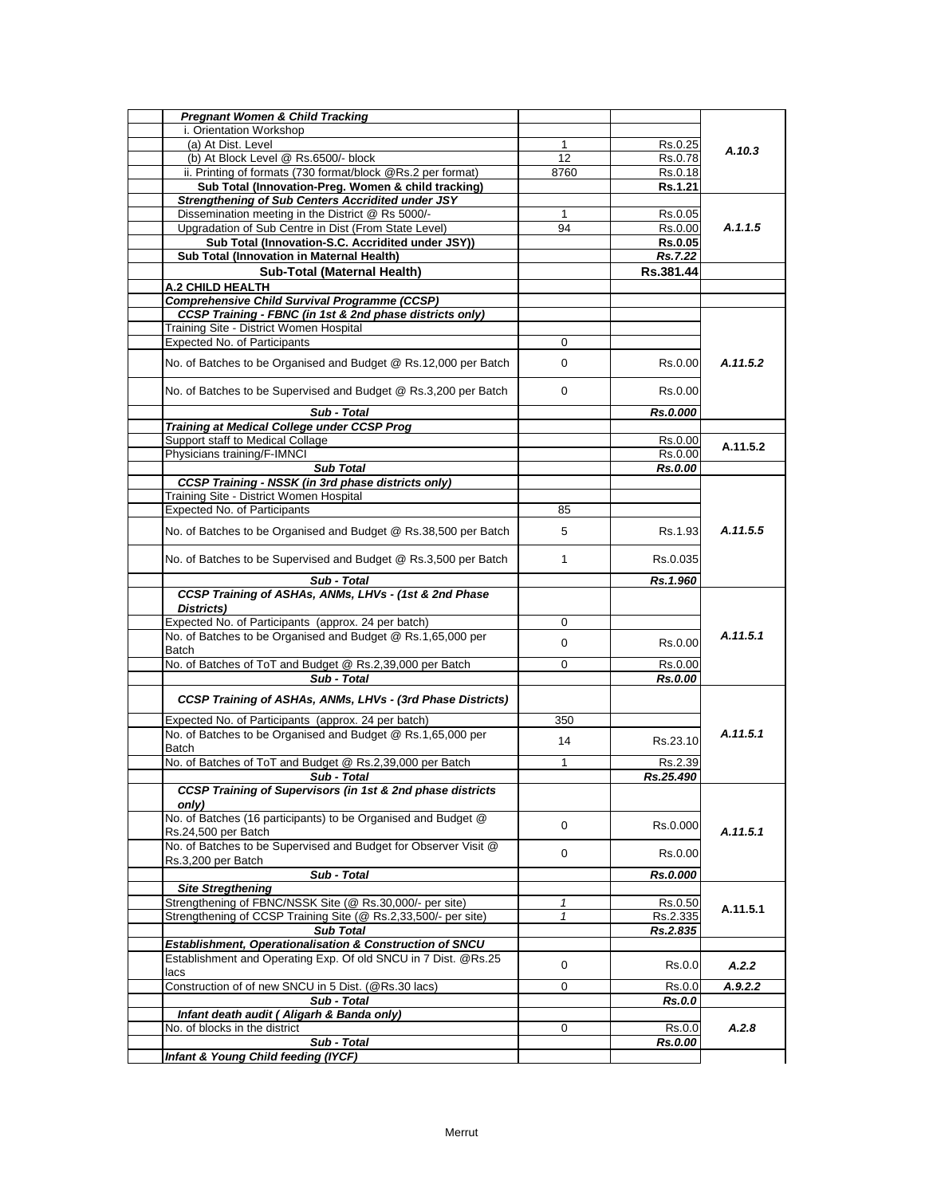| <b>Pregnant Women &amp; Child Tracking</b>                                   |              |           |          |
|------------------------------------------------------------------------------|--------------|-----------|----------|
| i. Orientation Workshop                                                      |              |           |          |
| (a) At Dist. Level                                                           | 1            | Rs.0.25   |          |
| (b) At Block Level @ Rs.6500/- block                                         | 12           | Rs.0.78   | A.10.3   |
| ii. Printing of formats (730 format/block @Rs.2 per format)                  | 8760         | Rs.0.18   |          |
| Sub Total (Innovation-Preg. Women & child tracking)                          |              | Rs.1.21   |          |
| <b>Strengthening of Sub Centers Accridited under JSY</b>                     |              |           |          |
| Dissemination meeting in the District @ Rs 5000/-                            | 1            | Rs.0.05   |          |
| Upgradation of Sub Centre in Dist (From State Level)                         | 94           | Rs.0.00   | A.1.1.5  |
| Sub Total (Innovation-S.C. Accridited under JSY))                            |              | Rs.0.05   |          |
| Sub Total (Innovation in Maternal Health)                                    |              | Rs.7.22   |          |
| Sub-Total (Maternal Health)                                                  |              | Rs.381.44 |          |
|                                                                              |              |           |          |
| A.2 CHILD HEALTH                                                             |              |           |          |
| Comprehensive Child Survival Programme (CCSP)                                |              |           |          |
| CCSP Training - FBNC (in 1st & 2nd phase districts only)                     |              |           |          |
| Training Site - District Women Hospital                                      |              |           |          |
| <b>Expected No. of Participants</b>                                          | 0            |           |          |
| No. of Batches to be Organised and Budget @ Rs.12,000 per Batch              | 0            | Rs.0.00   | A.11.5.2 |
| No. of Batches to be Supervised and Budget @ Rs.3,200 per Batch              | 0            | Rs.0.00   |          |
| Sub - Total                                                                  |              | Rs.0.000  |          |
| <b>Training at Medical College under CCSP Prog</b>                           |              |           |          |
| Support staff to Medical Collage                                             |              | Rs.0.00   |          |
| Physicians training/F-IMNCI                                                  |              | Rs.0.00   | A.11.5.2 |
| <b>Sub Total</b>                                                             |              | Rs.0.00   |          |
| <b>CCSP Training - NSSK (in 3rd phase districts only)</b>                    |              |           |          |
| Training Site - District Women Hospital                                      |              |           |          |
| <b>Expected No. of Participants</b>                                          | 85           |           |          |
|                                                                              |              |           |          |
| No. of Batches to be Organised and Budget @ Rs.38,500 per Batch              | 5            | Rs.1.93   | A.11.5.5 |
| No. of Batches to be Supervised and Budget @ Rs.3,500 per Batch              | $\mathbf{1}$ | Rs.0.035  |          |
| Sub - Total                                                                  |              | Rs.1.960  |          |
| CCSP Training of ASHAs, ANMs, LHVs - (1st & 2nd Phase                        |              |           |          |
| Districts)                                                                   |              |           |          |
| Expected No. of Participants (approx. 24 per batch)                          | 0            |           |          |
| No. of Batches to be Organised and Budget @ Rs.1,65,000 per                  |              |           | A.11.5.1 |
| Batch                                                                        | 0            | Rs.0.00   |          |
| No. of Batches of ToT and Budget @ Rs.2,39,000 per Batch                     | 0            | Rs.0.00   |          |
| Sub - Total                                                                  |              | Rs.0.00   |          |
|                                                                              |              |           |          |
| <b>CCSP Training of ASHAs, ANMs, LHVs - (3rd Phase Districts)</b>            |              |           |          |
| Expected No. of Participants (approx. 24 per batch)                          | 350          |           |          |
| No. of Batches to be Organised and Budget @ Rs.1,65,000 per                  |              |           | A.11.5.1 |
| <b>Batch</b>                                                                 | 14           | Rs.23.10  |          |
| No. of Batches of ToT and Budget @ Rs.2,39,000 per Batch                     | 1            | Rs.2.39   |          |
| Sub - Total                                                                  |              | Rs.25.490 |          |
| CCSP Training of Supervisors (in 1st & 2nd phase districts                   |              |           |          |
| only)                                                                        |              |           |          |
| No. of Batches (16 participants) to be Organised and Budget @                |              |           |          |
| Rs.24,500 per Batch                                                          | 0            | Rs.0.000  | A.11.5.1 |
| No. of Batches to be Supervised and Budget for Observer Visit @              |              |           |          |
| Rs.3,200 per Batch                                                           | 0            | Rs.0.00   |          |
| Sub - Total                                                                  |              | Rs.0.000  |          |
| <b>Site Stregthening</b>                                                     |              |           |          |
| Strengthening of FBNC/NSSK Site (@ Rs.30,000/- per site)                     | 1            | Rs.0.50   |          |
|                                                                              |              |           | A.11.5.1 |
| Strengthening of CCSP Training Site (@ Rs.2,33,500/- per site)               | 1            | Rs.2.335  |          |
| <b>Sub Total</b><br>Establishment, Operationalisation & Construction of SNCU |              | Rs.2.835  |          |
| Establishment and Operating Exp. Of old SNCU in 7 Dist. @Rs.25               |              |           |          |
|                                                                              | 0            | Rs.0.0    | A.2.2    |
| lacs                                                                         |              |           |          |
| Construction of of new SNCU in 5 Dist. (@Rs.30 lacs)                         | 0            | Rs.0.0    | A.9.2.2  |
| Sub - Total                                                                  |              | Rs.0.0    |          |
| Infant death audit ( Aligarh & Banda only)                                   |              |           |          |
| No. of blocks in the district                                                | 0            | Rs.0.0    | A.2.8    |
| Sub - Total                                                                  |              | Rs.0.00   |          |
| Infant & Young Child feeding (IYCF)                                          |              |           |          |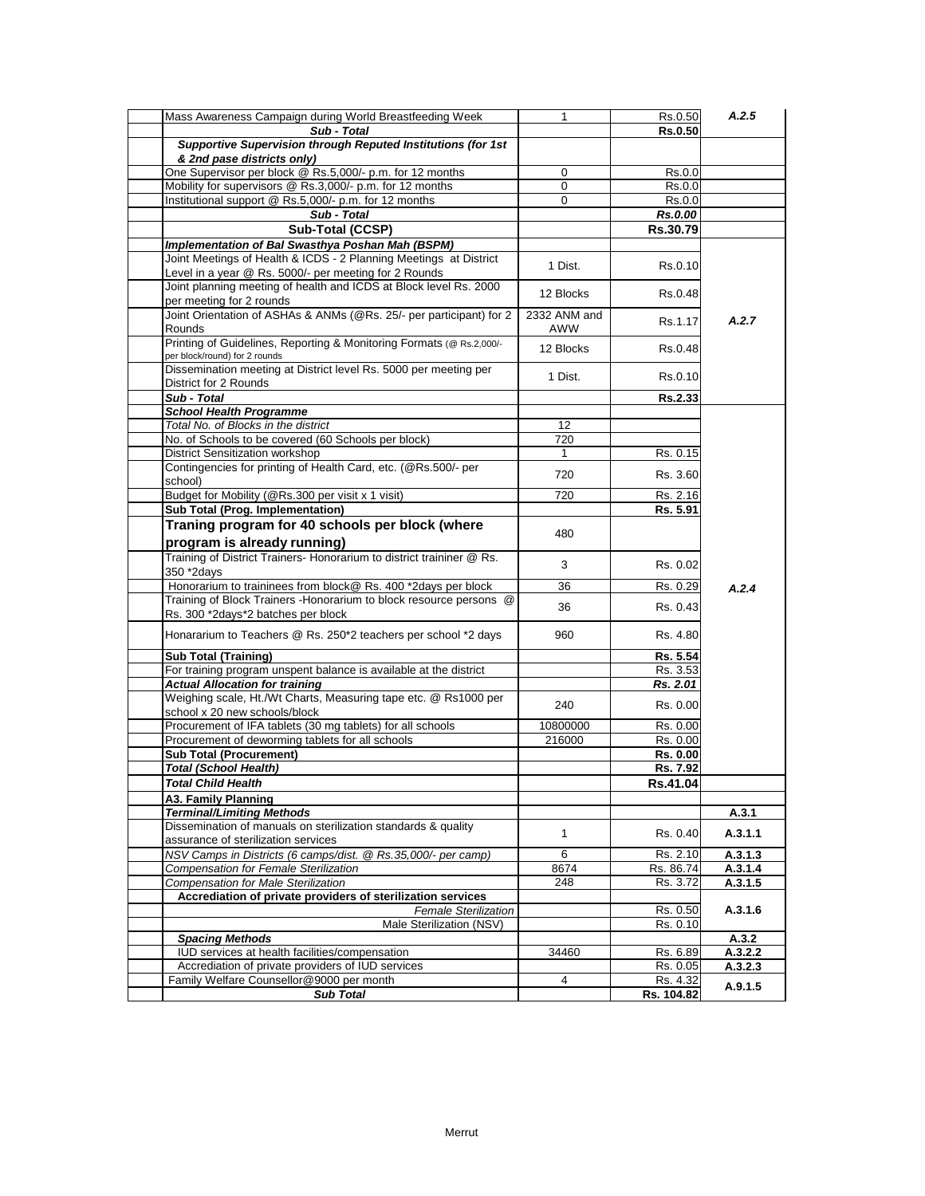| Mass Awareness Campaign during World Breastfeeding Week               | 1            | Rs.0.50    | A.2.5              |
|-----------------------------------------------------------------------|--------------|------------|--------------------|
| Sub - Total                                                           |              | Rs.0.50    |                    |
| Supportive Supervision through Reputed Institutions (for 1st          |              |            |                    |
| & 2nd pase districts only)                                            |              |            |                    |
| One Supervisor per block @ Rs.5,000/- p.m. for 12 months              | 0            | Rs.0.0     |                    |
| Mobility for supervisors @ Rs.3,000/- p.m. for 12 months              | 0            | Rs.0.0     |                    |
| Institutional support @ Rs.5,000/- p.m. for 12 months                 | 0            | Rs.0.0     |                    |
| Sub - Total                                                           |              | Rs.0.00    |                    |
|                                                                       |              |            |                    |
| Sub-Total (CCSP)                                                      |              | Rs.30.79   |                    |
| Implementation of Bal Swasthya Poshan Mah (BSPM)                      |              |            |                    |
| Joint Meetings of Health & ICDS - 2 Planning Meetings at District     | 1 Dist.      | Rs.0.10    |                    |
| Level in a year @ Rs. 5000/- per meeting for 2 Rounds                 |              |            |                    |
| Joint planning meeting of health and ICDS at Block level Rs. 2000     | 12 Blocks    | Rs.0.48    |                    |
| per meeting for 2 rounds                                              |              |            |                    |
| Joint Orientation of ASHAs & ANMs (@Rs. 25/- per participant) for 2   | 2332 ANM and | Rs.1.17    | A.2.7              |
| Rounds                                                                | AWW          |            |                    |
| Printing of Guidelines, Reporting & Monitoring Formats (@ Rs.2,000/-  | 12 Blocks    | Rs.0.48    |                    |
| per block/round) for 2 rounds                                         |              |            |                    |
| Dissemination meeting at District level Rs. 5000 per meeting per      | 1 Dist.      | Rs.0.10    |                    |
| District for 2 Rounds                                                 |              |            |                    |
| Sub - Total                                                           |              | Rs.2.33    |                    |
| <b>School Health Programme</b>                                        |              |            |                    |
| Total No. of Blocks in the district                                   | 12           |            |                    |
| No. of Schools to be covered (60 Schools per block)                   | 720          |            |                    |
| <b>District Sensitization workshop</b>                                | 1            | Rs. 0.15   |                    |
| Contingencies for printing of Health Card, etc. (@Rs.500/- per        |              |            |                    |
| school)                                                               | 720          | Rs. 3.60   |                    |
| Budget for Mobility (@Rs.300 per visit x 1 visit)                     | 720          | Rs. 2.16   |                    |
| Sub Total (Prog. Implementation)                                      |              | Rs. 5.91   |                    |
| Traning program for 40 schools per block (where                       |              |            |                    |
|                                                                       | 480          |            |                    |
| program is already running)                                           |              |            |                    |
| Training of District Trainers- Honorarium to district traininer @ Rs. | 3            | Rs. 0.02   |                    |
| 350 *2days                                                            |              |            |                    |
| Honorarium to traininees from block@ Rs. 400 *2days per block         | 36           | Rs. 0.29   | A.2.4              |
| Training of Block Trainers - Honorarium to block resource persons @   | 36           | Rs. 0.43   |                    |
| Rs. 300 *2days*2 batches per block                                    |              |            |                    |
| Honararium to Teachers @ Rs. 250*2 teachers per school *2 days        | 960          | Rs. 4.80   |                    |
|                                                                       |              |            |                    |
| <b>Sub Total (Training)</b>                                           |              | Rs. 5.54   |                    |
| For training program unspent balance is available at the district     |              | Rs. 3.53   |                    |
| <b>Actual Allocation for training</b>                                 |              | Rs. 2.01   |                    |
| Weighing scale, Ht./Wt Charts, Measuring tape etc. @ Rs1000 per       |              |            |                    |
| school x 20 new schools/block                                         | 240          | Rs. 0.00   |                    |
| Procurement of IFA tablets (30 mg tablets) for all schools            | 10800000     | Rs. 0.00   |                    |
| Procurement of deworming tablets for all schools                      | 216000       | Rs. 0.00   |                    |
| <b>Sub Total (Procurement)</b>                                        |              | Rs. 0.00   |                    |
| <b>Total (School Health)</b>                                          |              | Rs. 7.92   |                    |
| <b>Total Child Health</b>                                             |              | Rs.41.04   |                    |
| A3. Family Planning                                                   |              |            |                    |
| <b>Terminal/Limiting Methods</b>                                      |              |            | A.3.1              |
| Dissemination of manuals on sterilization standards & quality         |              |            |                    |
| assurance of sterilization services                                   | $\mathbf{1}$ | Rs. 0.40   | A.3.1.1            |
| NSV Camps in Districts (6 camps/dist. @ Rs.35,000/- per camp)         | 6            | Rs. 2.10   | A.3.1.3            |
| Compensation for Female Sterilization                                 | 8674         | Rs. 86.74  |                    |
| <b>Compensation for Male Sterilization</b>                            | 248          | Rs. 3.72   | A.3.1.4<br>A.3.1.5 |
|                                                                       |              |            |                    |
| Accrediation of private providers of sterilization services           |              |            |                    |
| <b>Female Sterilization</b>                                           |              | Rs. 0.50   | A.3.1.6            |
| Male Sterilization (NSV)                                              |              | Rs. 0.10   |                    |
| <b>Spacing Methods</b>                                                |              |            | A.3.2              |
| IUD services at health facilities/compensation                        | 34460        | Rs. 6.89   | A.3.2.2            |
| Accrediation of private providers of IUD services                     |              | Rs. 0.05   | A.3.2.3            |
| Family Welfare Counsellor@9000 per month                              | 4            | Rs. 4.32   | A.9.1.5            |
| <b>Sub Total</b>                                                      |              | Rs. 104.82 |                    |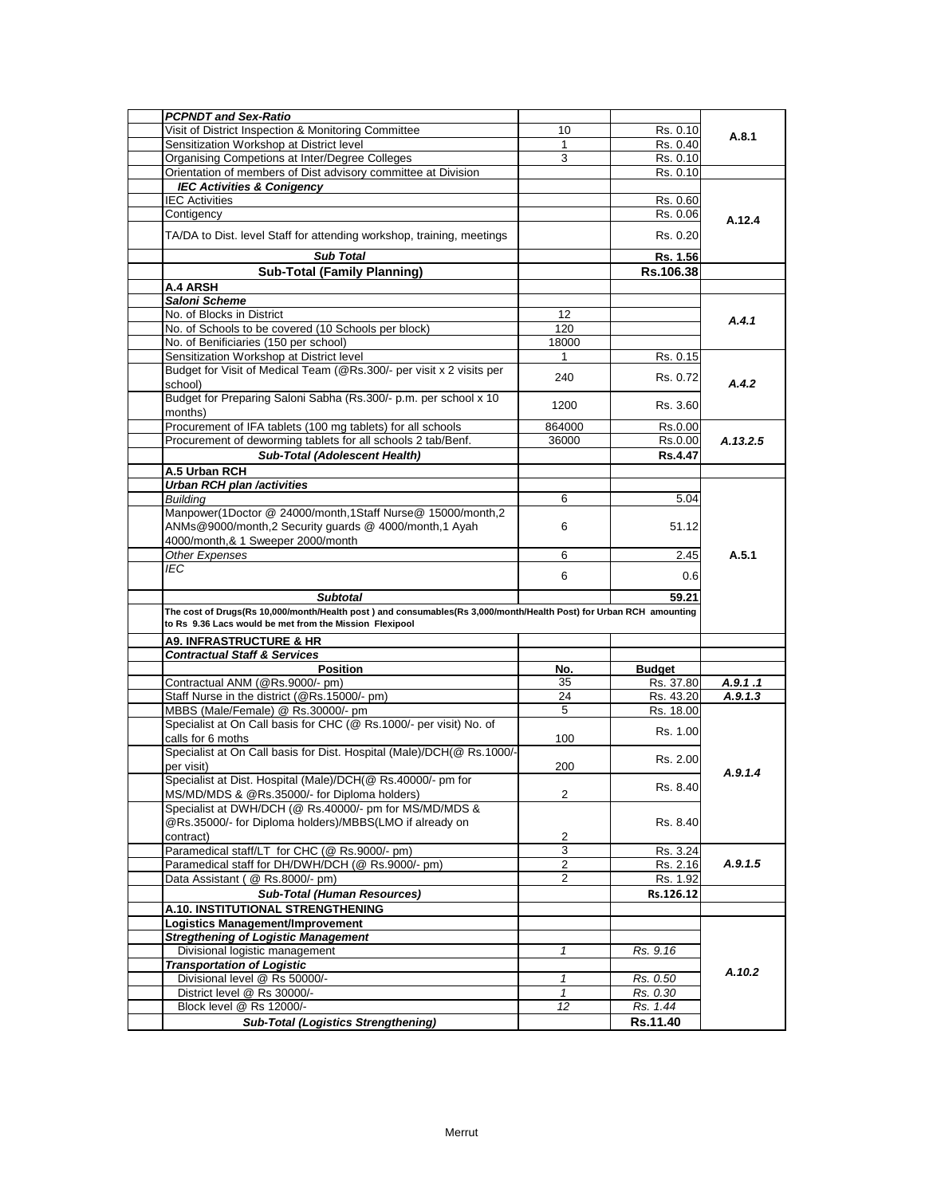| <b>PCPNDT and Sex-Ratio</b>                                                                                        |                     |               |          |
|--------------------------------------------------------------------------------------------------------------------|---------------------|---------------|----------|
| Visit of District Inspection & Monitoring Committee                                                                | 10                  | Rs. 0.10      | A.8.1    |
| Sensitization Workshop at District level                                                                           | 1                   | Rs. 0.40      |          |
| Organising Competions at Inter/Degree Colleges                                                                     | 3                   | Rs. 0.10      |          |
| Orientation of members of Dist advisory committee at Division                                                      |                     | Rs. 0.10      |          |
| <b>IEC Activities &amp; Conigency</b>                                                                              |                     |               |          |
| <b>IEC Activities</b>                                                                                              |                     | Rs. 0.60      |          |
| Contigency                                                                                                         |                     | Rs. 0.06      | A.12.4   |
| TA/DA to Dist. level Staff for attending workshop, training, meetings                                              |                     | Rs. 0.20      |          |
| <b>Sub Total</b>                                                                                                   |                     | Rs. 1.56      |          |
| <b>Sub-Total (Family Planning)</b>                                                                                 |                     | Rs.106.38     |          |
| <b>A.4 ARSH</b>                                                                                                    |                     |               |          |
| <b>Saloni Scheme</b>                                                                                               |                     |               |          |
| No. of Blocks in District                                                                                          | 12                  |               |          |
| No. of Schools to be covered (10 Schools per block)                                                                | 120                 |               | A.4.1    |
| No. of Benificiaries (150 per school)                                                                              | 18000               |               |          |
| Sensitization Workshop at District level                                                                           | 1                   | Rs. 0.15      |          |
| Budget for Visit of Medical Team (@Rs.300/- per visit x 2 visits per                                               |                     |               |          |
| school)                                                                                                            | 240                 | Rs. 0.72      | A.4.2    |
| Budget for Preparing Saloni Sabha (Rs.300/- p.m. per school x 10<br>months)                                        | 1200                | Rs. 3.60      |          |
| Procurement of IFA tablets (100 mg tablets) for all schools                                                        | 864000              | Rs.0.00       |          |
| Procurement of deworming tablets for all schools 2 tab/Benf.                                                       | 36000               | Rs.0.00       | A.13.2.5 |
| Sub-Total (Adolescent Health)                                                                                      |                     | Rs.4.47       |          |
|                                                                                                                    |                     |               |          |
| A.5 Urban RCH<br><b>Urban RCH plan /activities</b>                                                                 |                     |               |          |
|                                                                                                                    |                     |               |          |
| <b>Building</b><br>Manpower(1Doctor @ 24000/month,1Staff Nurse@ 15000/month,2                                      | 6                   | 5.04          |          |
| ANMs@9000/month,2 Security guards @ 4000/month,1 Ayah                                                              | 6                   | 51.12         |          |
| 4000/month, & 1 Sweeper 2000/month                                                                                 |                     |               |          |
| Other Expenses                                                                                                     |                     |               | A.5.1    |
| <b>IEC</b>                                                                                                         | 6                   | 2.45          |          |
|                                                                                                                    | 6                   | 0.6           |          |
| <b>Subtotal</b>                                                                                                    |                     | 59.21         |          |
| The cost of Drugs(Rs 10,000/month/Health post) and consumables(Rs 3,000/month/Health Post) for Urban RCH amounting |                     |               |          |
| to Rs 9.36 Lacs would be met from the Mission Flexipool                                                            |                     |               |          |
| <b>A9. INFRASTRUCTURE &amp; HR</b>                                                                                 |                     |               |          |
| <b>Contractual Staff &amp; Services</b>                                                                            |                     |               |          |
| <b>Position</b>                                                                                                    | No.                 | <b>Budget</b> |          |
| Contractual ANM (@Rs.9000/- pm)                                                                                    | 35                  | Rs. 37.80     | A.9.1.1  |
| Staff Nurse in the district (@Rs.15000/- pm)                                                                       | 24                  | Rs. 43.20     | A.9.1.3  |
| MBBS (Male/Female) @ Rs.30000/- pm                                                                                 | 5                   | Rs. 18.00     |          |
| Specialist at On Call basis for CHC (@ Rs.1000/- per visit) No. of                                                 |                     | Rs. 1.00      |          |
| calls for 6 moths                                                                                                  | 100                 |               |          |
| Specialist at On Call basis for Dist. Hospital (Male)/DCH(@ Rs.1000/-                                              |                     | Rs. 2.00      |          |
| per visit)<br>Specialist at Dist. Hospital (Male)/DCH(@ Rs.40000/- pm for                                          | 200                 |               | A.9.1.4  |
|                                                                                                                    |                     | Rs. 8.40      |          |
| MS/MD/MDS & @Rs.35000/- for Diploma holders)                                                                       | $\overline{2}$      |               |          |
| Specialist at DWH/DCH (@ Rs.40000/- pm for MS/MD/MDS &                                                             |                     |               |          |
| @Rs.35000/- for Diploma holders)/MBBS(LMO if already on                                                            |                     | Rs. 8.40      |          |
| contract)                                                                                                          | 2<br>$\overline{3}$ |               |          |
| Paramedical staff/LT for CHC (@ Rs.9000/- pm)<br>Paramedical staff for DH/DWH/DCH (@ Rs.9000/- pm)                 |                     | Rs. 3.24      | A.9.1.5  |
|                                                                                                                    | $\overline{c}$      | Rs. 2.16      |          |
| Data Assistant ( @ Rs.8000/- pm)                                                                                   | 2                   | Rs. 1.92      |          |
| <b>Sub-Total (Human Resources)</b>                                                                                 |                     | Rs.126.12     |          |
| <b>A.10. INSTITUTIONAL STRENGTHENING</b>                                                                           |                     |               |          |
| <b>Logistics Management/Improvement</b>                                                                            |                     |               |          |
| <b>Stregthening of Logistic Management</b>                                                                         |                     |               |          |
| Divisional logistic management                                                                                     | $\mathbf{1}$        | Rs. 9.16      |          |
| <b>Transportation of Logistic</b>                                                                                  |                     |               | A.10.2   |
| Divisional level @ Rs 50000/-                                                                                      | $\mathbf{1}$        | Rs. 0.50      |          |
| District level @ Rs 30000/-                                                                                        | $\mathbf{1}$        | Rs. 0.30      |          |
| Block level @ Rs 12000/-                                                                                           | 12                  | Rs. 1.44      |          |
| <b>Sub-Total (Logistics Strengthening)</b>                                                                         |                     | Rs.11.40      |          |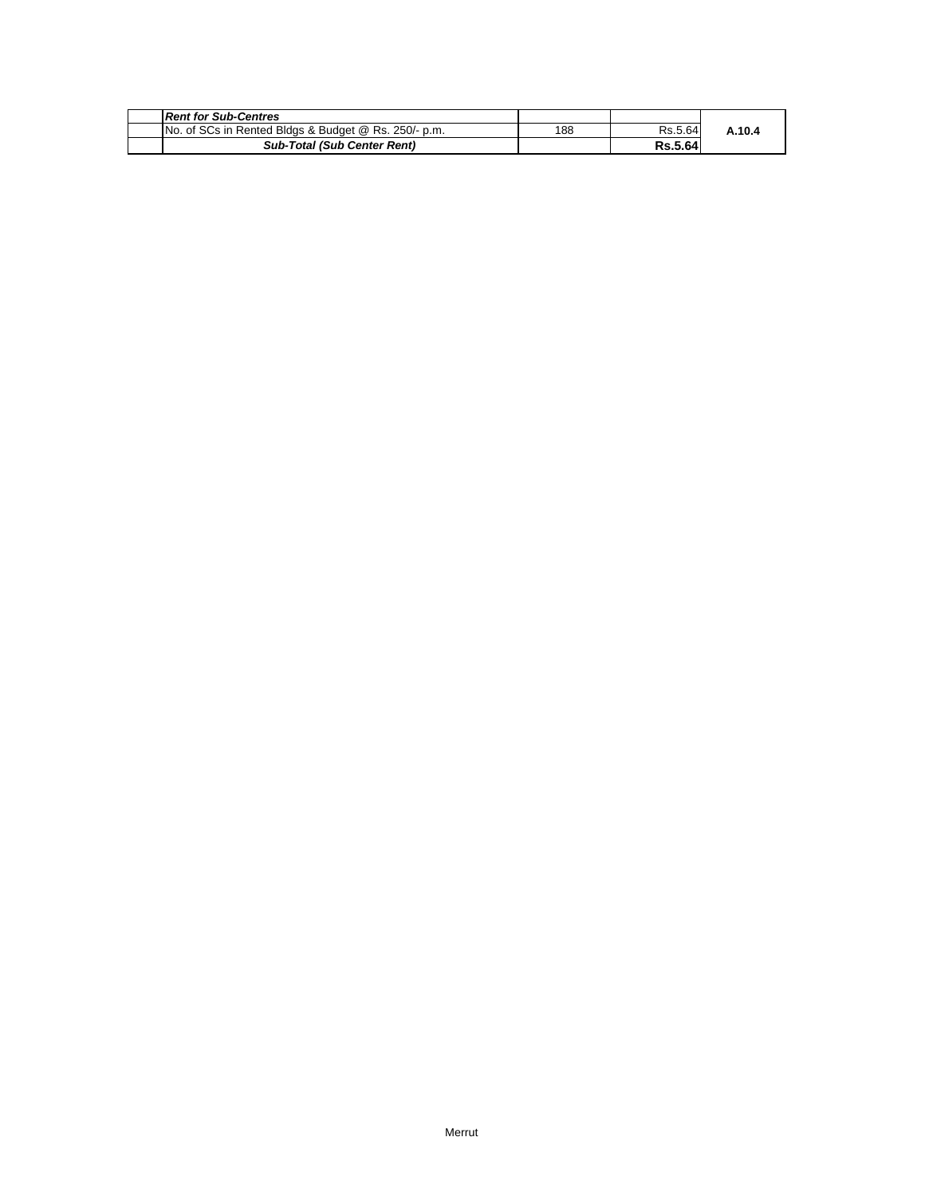| <b>Rent for Sub-Centres</b>                          |     |                |        |
|------------------------------------------------------|-----|----------------|--------|
| No. of SCs in Rented Bldgs & Budget @ Rs. 250/- p.m. | 188 | Rs.5.64        | A.10.4 |
| <b>Sub-Total (Sub Center Rent)</b>                   |     | <b>Rs.5.64</b> |        |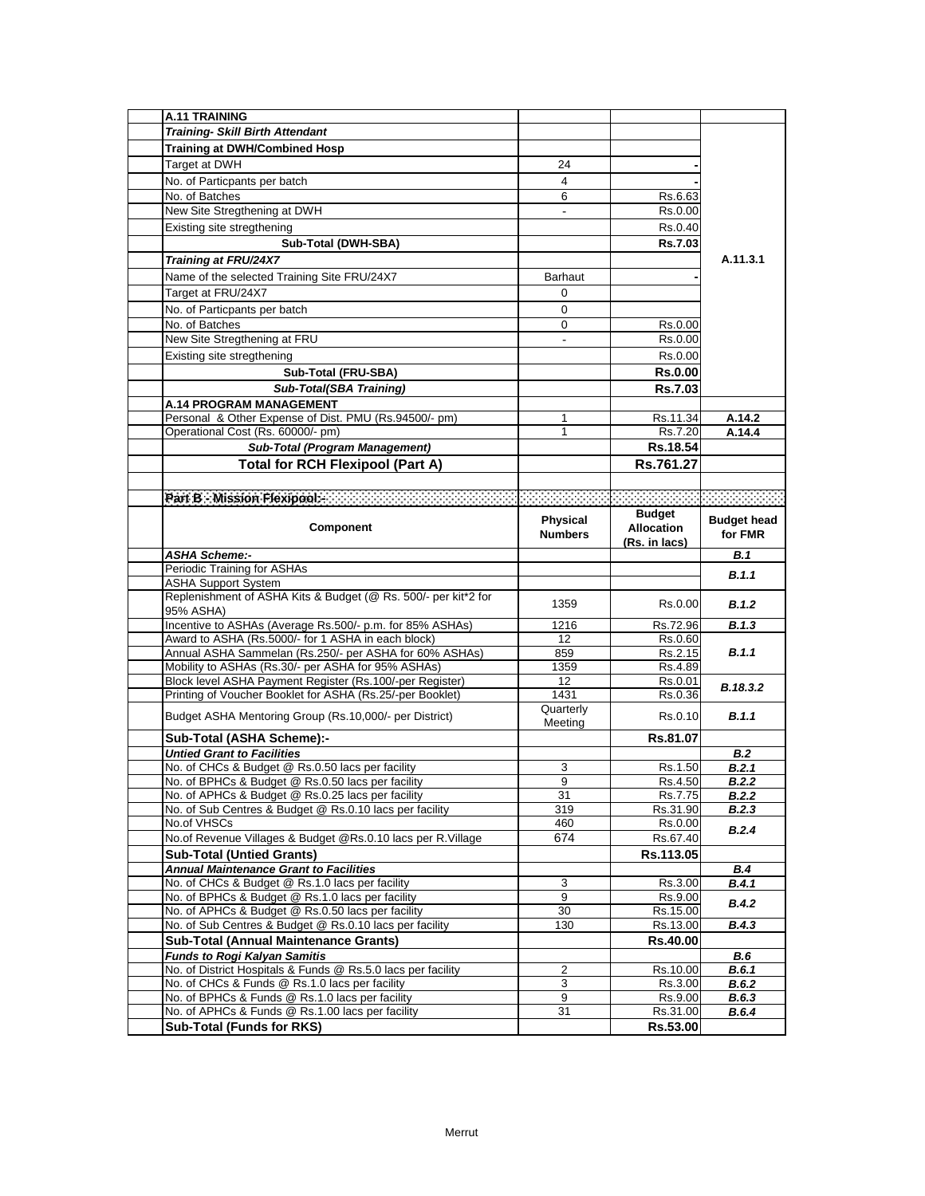| <b>A.11 TRAINING</b>                                                                                           |                 |                                                                                                                                                                                                                                  |                    |
|----------------------------------------------------------------------------------------------------------------|-----------------|----------------------------------------------------------------------------------------------------------------------------------------------------------------------------------------------------------------------------------|--------------------|
| <b>Training- Skill Birth Attendant</b>                                                                         |                 |                                                                                                                                                                                                                                  |                    |
| <b>Training at DWH/Combined Hosp</b>                                                                           |                 |                                                                                                                                                                                                                                  |                    |
| Target at DWH                                                                                                  | 24              |                                                                                                                                                                                                                                  |                    |
| No. of Particpants per batch                                                                                   | 4               |                                                                                                                                                                                                                                  |                    |
| No. of Batches                                                                                                 | 6               |                                                                                                                                                                                                                                  |                    |
| New Site Stregthening at DWH                                                                                   |                 | Rs.6.63                                                                                                                                                                                                                          |                    |
|                                                                                                                |                 | Rs.0.00                                                                                                                                                                                                                          |                    |
| Existing site stregthening                                                                                     |                 | Rs.0.40                                                                                                                                                                                                                          |                    |
| Sub-Total (DWH-SBA)                                                                                            |                 | Rs.7.03                                                                                                                                                                                                                          |                    |
| Training at FRU/24X7                                                                                           |                 |                                                                                                                                                                                                                                  | A.11.3.1           |
| Name of the selected Training Site FRU/24X7                                                                    | <b>Barhaut</b>  |                                                                                                                                                                                                                                  |                    |
| Target at FRU/24X7                                                                                             | $\Omega$        |                                                                                                                                                                                                                                  |                    |
| No. of Particpants per batch                                                                                   | 0               |                                                                                                                                                                                                                                  |                    |
| No. of Batches                                                                                                 | 0               | Rs.0.00                                                                                                                                                                                                                          |                    |
| New Site Stregthening at FRU                                                                                   | $\overline{a}$  | Rs.0.00                                                                                                                                                                                                                          |                    |
| Existing site stregthening                                                                                     |                 | Rs.0.00                                                                                                                                                                                                                          |                    |
| Sub-Total (FRU-SBA)                                                                                            |                 | <b>Rs.0.00</b>                                                                                                                                                                                                                   |                    |
|                                                                                                                |                 |                                                                                                                                                                                                                                  |                    |
| <b>Sub-Total(SBA Training)</b>                                                                                 |                 | <b>Rs.7.03</b>                                                                                                                                                                                                                   |                    |
| <b>A.14 PROGRAM MANAGEMENT</b>                                                                                 |                 |                                                                                                                                                                                                                                  |                    |
| Personal & Other Expense of Dist. PMU (Rs.94500/- pm)                                                          | 1               | Rs.11.34                                                                                                                                                                                                                         | A.14.2             |
| Operational Cost (Rs. 60000/- pm)                                                                              | $\mathbf{1}$    | Rs.7.20                                                                                                                                                                                                                          | A.14.4             |
| <b>Sub-Total (Program Management)</b>                                                                          |                 | Rs.18.54                                                                                                                                                                                                                         |                    |
| <b>Total for RCH Flexipool (Part A)</b>                                                                        |                 | Rs.761.27                                                                                                                                                                                                                        |                    |
|                                                                                                                |                 |                                                                                                                                                                                                                                  |                    |
| Part B. Mission Flexipools (2003) 2003 2003 2003 2004 2005 2005 2007                                           |                 | a de la construcción de la construcción de la construcción de la construcción de la construcción de la constru<br>A la construcción de la construcción de la construcción de la construcción de la construcción de la construcci |                    |
|                                                                                                                |                 | <b>Budget</b>                                                                                                                                                                                                                    |                    |
| Component                                                                                                      | <b>Physical</b> | <b>Allocation</b>                                                                                                                                                                                                                | <b>Budget head</b> |
|                                                                                                                | <b>Numbers</b>  | (Rs. in lacs)                                                                                                                                                                                                                    | for FMR            |
| <b>ASHA Scheme:-</b>                                                                                           |                 |                                                                                                                                                                                                                                  | B.1                |
| Periodic Training for ASHAs                                                                                    |                 |                                                                                                                                                                                                                                  | B.1.1              |
| <b>ASHA Support System</b>                                                                                     |                 |                                                                                                                                                                                                                                  |                    |
| Replenishment of ASHA Kits & Budget (@ Rs. 500/- per kit*2 for                                                 | 1359            | Rs.0.00                                                                                                                                                                                                                          | B.1.2              |
| 95% ASHA)                                                                                                      |                 |                                                                                                                                                                                                                                  |                    |
| Incentive to ASHAs (Average Rs.500/- p.m. for 85% ASHAs)<br>Award to ASHA (Rs.5000/- for 1 ASHA in each block) | 1216            | Rs.72.96                                                                                                                                                                                                                         | B.1.3              |
|                                                                                                                |                 |                                                                                                                                                                                                                                  |                    |
|                                                                                                                | 12              | Rs.0.60                                                                                                                                                                                                                          |                    |
| Annual ASHA Sammelan (Rs.250/- per ASHA for 60% ASHAs)                                                         | 859             | Rs.2.15                                                                                                                                                                                                                          | B.1.1              |
| Mobility to ASHAs (Rs.30/- per ASHA for 95% ASHAs)                                                             | 1359            | Rs.4.89                                                                                                                                                                                                                          |                    |
| Block level ASHA Payment Register (Rs.100/-per Register)                                                       | 12              | Rs.0.01                                                                                                                                                                                                                          | B.18.3.2           |
| Printing of Voucher Booklet for ASHA (Rs.25/-per Booklet)                                                      | 1431            | Rs.0.36                                                                                                                                                                                                                          |                    |
| Budget ASHA Mentoring Group (Rs.10,000/- per District)                                                         | Quarterly       | Rs.0.10                                                                                                                                                                                                                          | B.1.1              |
|                                                                                                                | Meeting         |                                                                                                                                                                                                                                  |                    |
| Sub-Total (ASHA Scheme):-                                                                                      |                 | Rs.81.07                                                                                                                                                                                                                         |                    |
| <b>Untied Grant to Facilities</b>                                                                              | 3               |                                                                                                                                                                                                                                  | B.2<br>B.2.1       |
| No. of CHCs & Budget @ Rs.0.50 lacs per facility<br>No. of BPHCs & Budget @ Rs.0.50 lacs per facility          | 9               | Rs.1.50<br>Rs.4.50                                                                                                                                                                                                               | B.2.2              |
| No. of APHCs & Budget @ Rs.0.25 lacs per facility                                                              | 31              | Rs.7.75                                                                                                                                                                                                                          | B.2.2              |
| No. of Sub Centres & Budget @ Rs.0.10 lacs per facility                                                        | 319             | Rs.31.90                                                                                                                                                                                                                         | B.2.3              |
| No.of VHSCs                                                                                                    | 460             | Rs.0.00                                                                                                                                                                                                                          |                    |
| No.of Revenue Villages & Budget @Rs.0.10 lacs per R.Village                                                    | 674             | Rs.67.40                                                                                                                                                                                                                         | B.2.4              |
|                                                                                                                |                 | Rs.113.05                                                                                                                                                                                                                        |                    |
| <b>Sub-Total (Untied Grants)</b>                                                                               |                 |                                                                                                                                                                                                                                  | B.4                |
| <b>Annual Maintenance Grant to Facilities</b>                                                                  | 3               | Rs.3.00                                                                                                                                                                                                                          | B.4.1              |
| No. of CHCs & Budget @ Rs.1.0 lacs per facility<br>No. of BPHCs & Budget @ Rs.1.0 lacs per facility            | 9               | Rs.9.00                                                                                                                                                                                                                          |                    |
| No. of APHCs & Budget @ Rs.0.50 lacs per facility                                                              | 30              | Rs.15.00                                                                                                                                                                                                                         | <b>B.4.2</b>       |
| No. of Sub Centres & Budget @ Rs.0.10 lacs per facility                                                        | 130             | Rs.13.00                                                                                                                                                                                                                         | B.4.3              |
| <b>Sub-Total (Annual Maintenance Grants)</b>                                                                   |                 | Rs.40.00                                                                                                                                                                                                                         |                    |
| <b>Funds to Rogi Kalyan Samitis</b>                                                                            |                 |                                                                                                                                                                                                                                  | B.6                |
| No. of District Hospitals & Funds @ Rs.5.0 lacs per facility                                                   | 2               | Rs.10.00                                                                                                                                                                                                                         | <b>B.6.1</b>       |
| No. of CHCs & Funds @ Rs.1.0 lacs per facility                                                                 | 3               | Rs.3.00                                                                                                                                                                                                                          | B.6.2              |
| No. of BPHCs & Funds @ Rs.1.0 lacs per facility                                                                | 9               | Rs.9.00                                                                                                                                                                                                                          | B.6.3              |
| No. of APHCs & Funds @ Rs.1.00 lacs per facility<br><b>Sub-Total (Funds for RKS)</b>                           | 31              | Rs.31.00<br>Rs.53.00                                                                                                                                                                                                             | B.6.4              |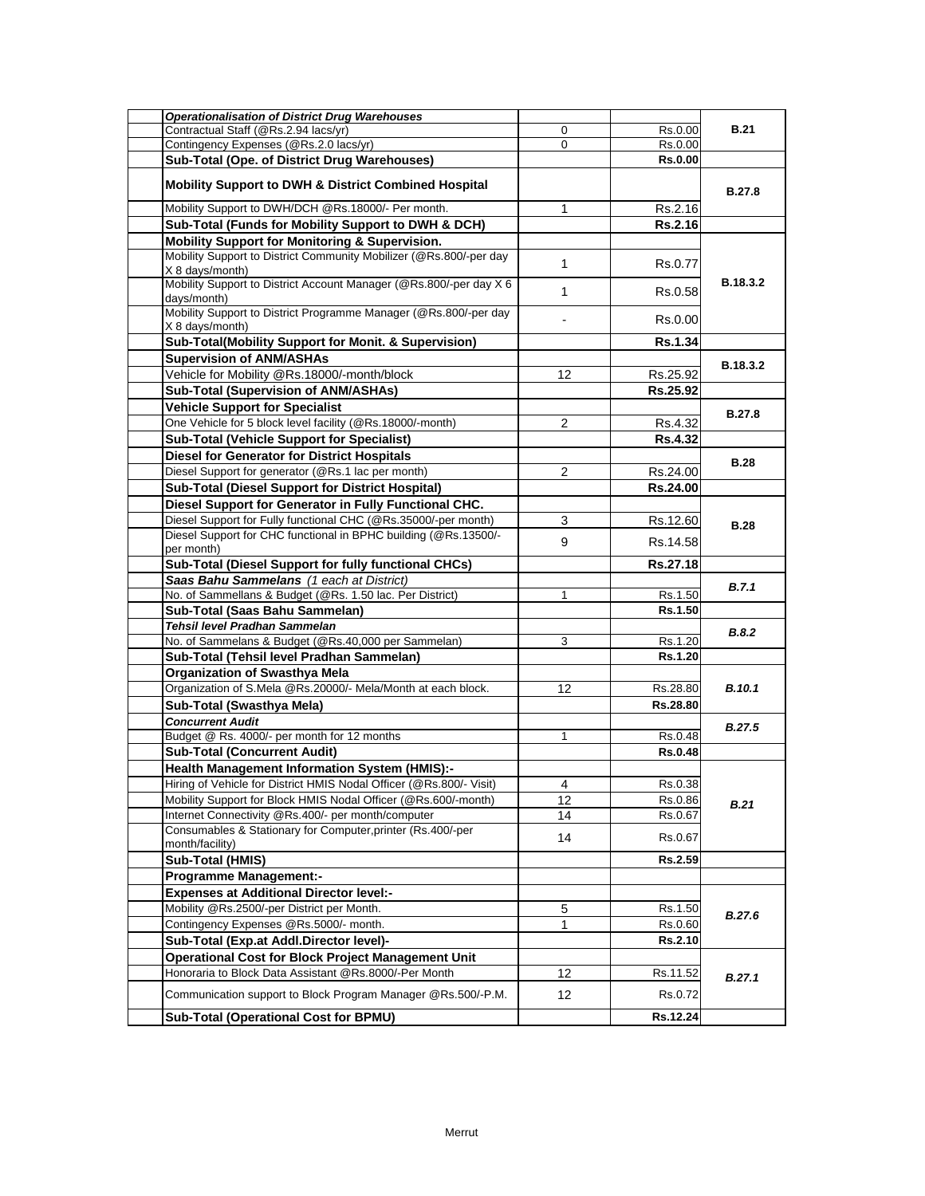| <b>Operationalisation of District Drug Warehouses</b>                                 |              |                |               |
|---------------------------------------------------------------------------------------|--------------|----------------|---------------|
| Contractual Staff (@Rs.2.94 lacs/yr)                                                  | 0            | Rs.0.00        | <b>B.21</b>   |
| Contingency Expenses (@Rs.2.0 lacs/yr)                                                | 0            | Rs.0.00        |               |
| Sub-Total (Ope. of District Drug Warehouses)                                          |              | <b>Rs.0.00</b> |               |
| <b>Mobility Support to DWH &amp; District Combined Hospital</b>                       |              |                | <b>B.27.8</b> |
| Mobility Support to DWH/DCH @Rs.18000/- Per month.                                    | 1            | Rs.2.16        |               |
| Sub-Total (Funds for Mobility Support to DWH & DCH)                                   |              | <b>Rs.2.16</b> |               |
| Mobility Support for Monitoring & Supervision.                                        |              |                |               |
| Mobility Support to District Community Mobilizer (@Rs.800/-per day<br>X 8 days/month) | $\mathbf{1}$ | Rs.0.77        |               |
| Mobility Support to District Account Manager (@Rs.800/-per day X 6<br>days/month)     | 1            | Rs.0.58        | B.18.3.2      |
| Mobility Support to District Programme Manager (@Rs.800/-per day<br>X 8 days/month)   |              | Rs.0.00        |               |
| Sub-Total(Mobility Support for Monit. & Supervision)                                  |              | <b>Rs.1.34</b> |               |
| <b>Supervision of ANM/ASHAs</b>                                                       |              |                | B.18.3.2      |
| Vehicle for Mobility @Rs.18000/-month/block                                           | 12           | Rs.25.92       |               |
| <b>Sub-Total (Supervision of ANM/ASHAs)</b>                                           |              | Rs.25.92       |               |
| <b>Vehicle Support for Specialist</b>                                                 |              |                |               |
| One Vehicle for 5 block level facility (@Rs.18000/-month)                             | 2            | Rs.4.32        | <b>B.27.8</b> |
| <b>Sub-Total (Vehicle Support for Specialist)</b>                                     |              | <b>Rs.4.32</b> |               |
| <b>Diesel for Generator for District Hospitals</b>                                    |              |                |               |
| Diesel Support for generator (@Rs.1 lac per month)                                    | 2            | Rs.24.00       | <b>B.28</b>   |
| <b>Sub-Total (Diesel Support for District Hospital)</b>                               |              | Rs.24.00       |               |
| Diesel Support for Generator in Fully Functional CHC.                                 |              |                |               |
| Diesel Support for Fully functional CHC (@Rs.35000/-per month)                        | 3            | Rs.12.60       |               |
| Diesel Support for CHC functional in BPHC building (@Rs.13500/-                       |              |                | <b>B.28</b>   |
| per month)                                                                            | 9            | Rs.14.58       |               |
| <b>Sub-Total (Diesel Support for fully functional CHCs)</b>                           |              | Rs.27.18       |               |
| Saas Bahu Sammelans (1 each at District)                                              |              |                |               |
| No. of Sammellans & Budget (@Rs. 1.50 lac. Per District)                              | 1            | Rs.1.50        | B.7.1         |
| Sub-Total (Saas Bahu Sammelan)                                                        |              | Rs.1.50        |               |
| Tehsil level Pradhan Sammelan                                                         |              |                |               |
| No. of Sammelans & Budget (@Rs.40,000 per Sammelan)                                   | 3            | Rs.1.20        | <b>B.8.2</b>  |
| Sub-Total (Tehsil level Pradhan Sammelan)                                             |              | Rs.1.20        |               |
| <b>Organization of Swasthya Mela</b>                                                  |              |                |               |
| Organization of S.Mela @Rs.20000/- Mela/Month at each block.                          | 12           | Rs.28.80       | <b>B.10.1</b> |
| Sub-Total (Swasthya Mela)                                                             |              | Rs.28.80       |               |
| <b>Concurrent Audit</b>                                                               |              |                |               |
| Budget @ Rs. 4000/- per month for 12 months                                           | 1            | Rs.0.48        | <b>B.27.5</b> |
| <b>Sub-Total (Concurrent Audit)</b>                                                   |              | <b>Rs.0.48</b> |               |
| <b>Health Management Information System (HMIS):-</b>                                  |              |                |               |
| Hiring of Vehicle for District HMIS Nodal Officer (@Rs.800/- Visit)                   | 4            | Rs.0.38        |               |
| Mobility Support for Block HMIS Nodal Officer (@Rs.600/-month)                        | 12           | Rs.0.86        | B.21          |
| Internet Connectivity @Rs.400/- per month/computer                                    | 14           | Rs.0.67        |               |
| Consumables & Stationary for Computer, printer (Rs.400/-per                           |              |                |               |
| month/facility)                                                                       | 14           | Rs.0.67        |               |
| Sub-Total (HMIS)                                                                      |              | Rs.2.59        |               |
| <b>Programme Management:-</b>                                                         |              |                |               |
| <b>Expenses at Additional Director level:-</b>                                        |              |                |               |
| Mobility @Rs.2500/-per District per Month.                                            | 5            | Rs.1.50        |               |
| Contingency Expenses @Rs.5000/- month.                                                | 1            | Rs.0.60        | B.27.6        |
| Sub-Total (Exp.at Addl.Director level)-                                               |              | Rs.2.10        |               |
| <b>Operational Cost for Block Project Management Unit</b>                             |              |                |               |
| Honoraria to Block Data Assistant @Rs.8000/-Per Month                                 | 12           | Rs.11.52       | B.27.1        |
| Communication support to Block Program Manager @Rs.500/-P.M.                          | 12           | Rs.0.72        |               |
| <b>Sub-Total (Operational Cost for BPMU)</b>                                          |              | Rs.12.24       |               |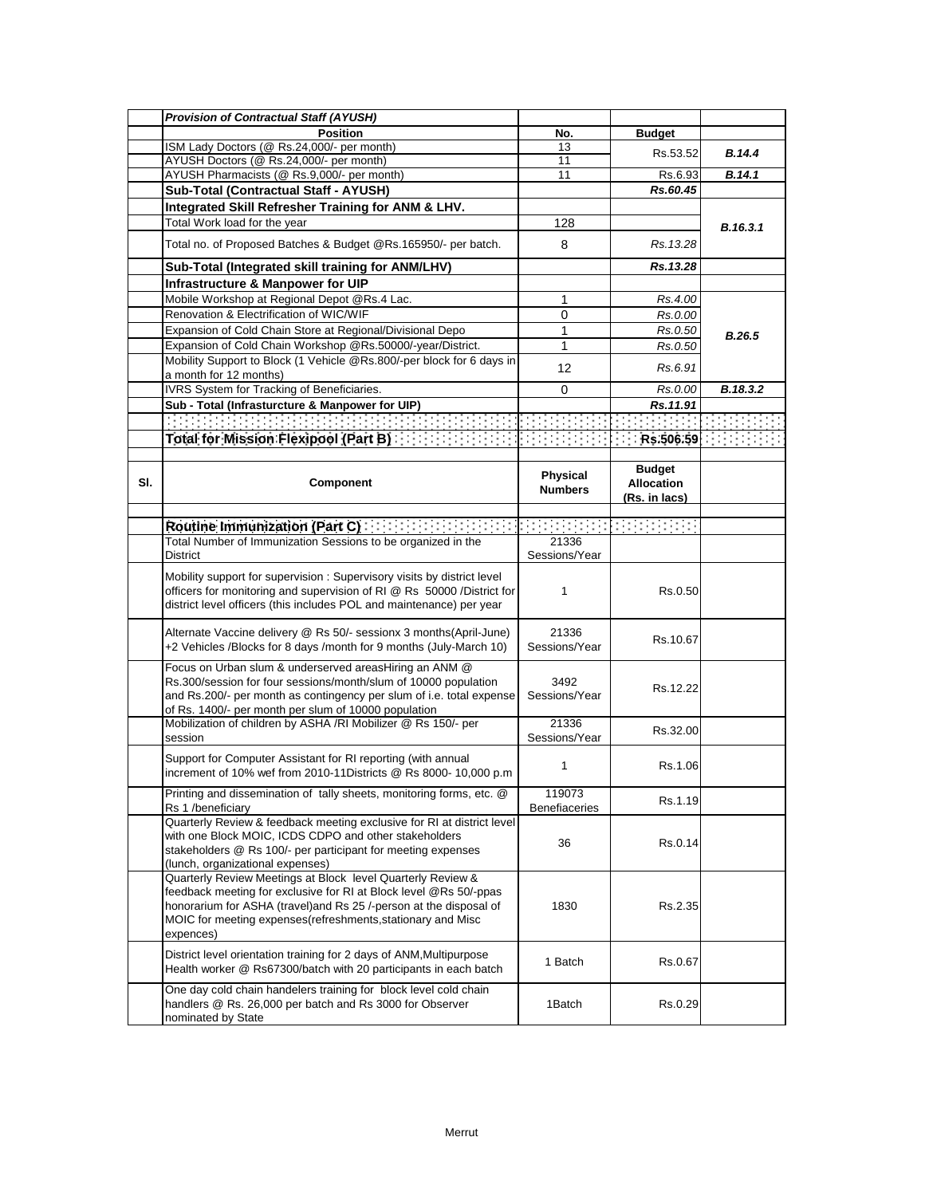|     | <b>Provision of Contractual Staff (AYUSH)</b>                                                                                                                                                                                                                                       |                         |                                    |          |
|-----|-------------------------------------------------------------------------------------------------------------------------------------------------------------------------------------------------------------------------------------------------------------------------------------|-------------------------|------------------------------------|----------|
|     | <b>Position</b>                                                                                                                                                                                                                                                                     | No.                     | <b>Budget</b>                      |          |
|     | ISM Lady Doctors (@ Rs.24,000/- per month)                                                                                                                                                                                                                                          | 13                      | Rs.53.52                           | B.14.4   |
|     | AYUSH Doctors (@ Rs.24,000/- per month)                                                                                                                                                                                                                                             | 11                      |                                    |          |
|     | AYUSH Pharmacists (@ Rs.9,000/- per month)                                                                                                                                                                                                                                          | 11                      | Rs.6.93                            | B.14.1   |
|     | Sub-Total (Contractual Staff - AYUSH)                                                                                                                                                                                                                                               |                         | Rs.60.45                           |          |
|     | Integrated Skill Refresher Training for ANM & LHV.                                                                                                                                                                                                                                  |                         |                                    |          |
|     | Total Work load for the year                                                                                                                                                                                                                                                        | 128                     |                                    | B.16.3.1 |
|     | Total no. of Proposed Batches & Budget @Rs.165950/- per batch.                                                                                                                                                                                                                      | 8                       | Rs. 13.28                          |          |
|     | Sub-Total (Integrated skill training for ANM/LHV)                                                                                                                                                                                                                                   |                         | Rs. 13.28                          |          |
|     | Infrastructure & Manpower for UIP                                                                                                                                                                                                                                                   |                         |                                    |          |
|     | Mobile Workshop at Regional Depot @Rs.4 Lac.                                                                                                                                                                                                                                        | 1                       | Rs.4.00                            |          |
|     | Renovation & Electrification of WIC/WIF                                                                                                                                                                                                                                             | 0                       | Rs.0.00                            |          |
|     | Expansion of Cold Chain Store at Regional/Divisional Depo                                                                                                                                                                                                                           | 1                       | Rs.0.50                            | B.26.5   |
|     | Expansion of Cold Chain Workshop @Rs.50000/-year/District.                                                                                                                                                                                                                          | 1                       | Rs.0.50                            |          |
|     | Mobility Support to Block (1 Vehicle @Rs.800/-per block for 6 days in                                                                                                                                                                                                               | 12                      | Rs.6.91                            |          |
|     | a month for 12 months)                                                                                                                                                                                                                                                              |                         |                                    |          |
|     | IVRS System for Tracking of Beneficiaries.                                                                                                                                                                                                                                          | 0                       | Rs.0.00                            | B.18.3.2 |
|     | Sub - Total (Infrasturcture & Manpower for UIP)                                                                                                                                                                                                                                     |                         | Rs.11.91                           |          |
|     |                                                                                                                                                                                                                                                                                     |                         |                                    |          |
|     | Total for Mission Flexipool (Part B) The Mission of Total Total                                                                                                                                                                                                                     |                         | Rs.506.59                          |          |
|     |                                                                                                                                                                                                                                                                                     |                         |                                    |          |
| SI. | Component                                                                                                                                                                                                                                                                           | <b>Physical</b>         | <b>Budget</b><br><b>Allocation</b> |          |
|     |                                                                                                                                                                                                                                                                                     | <b>Numbers</b>          | (Rs. in lacs)                      |          |
|     |                                                                                                                                                                                                                                                                                     |                         |                                    |          |
|     | Routine Immunization (Part C)                                                                                                                                                                                                                                                       | din di <u>bo</u>        |                                    |          |
|     | Total Number of Immunization Sessions to be organized in the                                                                                                                                                                                                                        | 21336                   |                                    |          |
|     | District                                                                                                                                                                                                                                                                            | Sessions/Year           |                                    |          |
|     | Mobility support for supervision: Supervisory visits by district level<br>officers for monitoring and supervision of RI @ Rs 50000 /District for<br>district level officers (this includes POL and maintenance) per year                                                            | $\mathbf{1}$            | Rs.0.50                            |          |
|     | Alternate Vaccine delivery @ Rs 50/- sessionx 3 months(April-June)<br>+2 Vehicles /Blocks for 8 days /month for 9 months (July-March 10)                                                                                                                                            | 21336<br>Sessions/Year  | Rs.10.67                           |          |
|     | Focus on Urban slum & underserved areasHiring an ANM @<br>Rs.300/session for four sessions/month/slum of 10000 population<br>and Rs.200/- per month as contingency per slum of i.e. total expense<br>of Rs. 1400/- per month per slum of 10000 population                           | 3492<br>Sessions/Year   | Rs.12.22                           |          |
|     | Mobilization of children by ASHA /RI Mobilizer @ Rs 150/- per<br>session                                                                                                                                                                                                            | 21336<br>Sessions/Year  | Rs.32.00                           |          |
|     | Support for Computer Assistant for RI reporting (with annual<br>increment of 10% wef from 2010-11Districts @ Rs 8000- 10,000 p.m                                                                                                                                                    | 1                       | Rs.1.06                            |          |
|     | Printing and dissemination of tally sheets, monitoring forms, etc. @<br>Rs 1 /beneficiary                                                                                                                                                                                           | 119073<br>Benefiaceries | Rs.1.19                            |          |
|     | Quarterly Review & feedback meeting exclusive for RI at district level<br>with one Block MOIC, ICDS CDPO and other stakeholders<br>stakeholders @ Rs 100/- per participant for meeting expenses<br>(lunch, organizational expenses)                                                 | 36                      | Rs.0.14                            |          |
|     | Quarterly Review Meetings at Block level Quarterly Review &<br>feedback meeting for exclusive for RI at Block level @Rs 50/-ppas<br>honorarium for ASHA (travel) and Rs 25 /-person at the disposal of<br>MOIC for meeting expenses (refreshments, stationary and Misc<br>expences) | 1830                    | Rs.2.35                            |          |
|     | District level orientation training for 2 days of ANM, Multipurpose<br>Health worker @ Rs67300/batch with 20 participants in each batch                                                                                                                                             | 1 Batch                 | Rs.0.67                            |          |
|     | One day cold chain handelers training for block level cold chain<br>handlers @ Rs. 26,000 per batch and Rs 3000 for Observer<br>nominated by State                                                                                                                                  | 1Batch                  | Rs.0.29                            |          |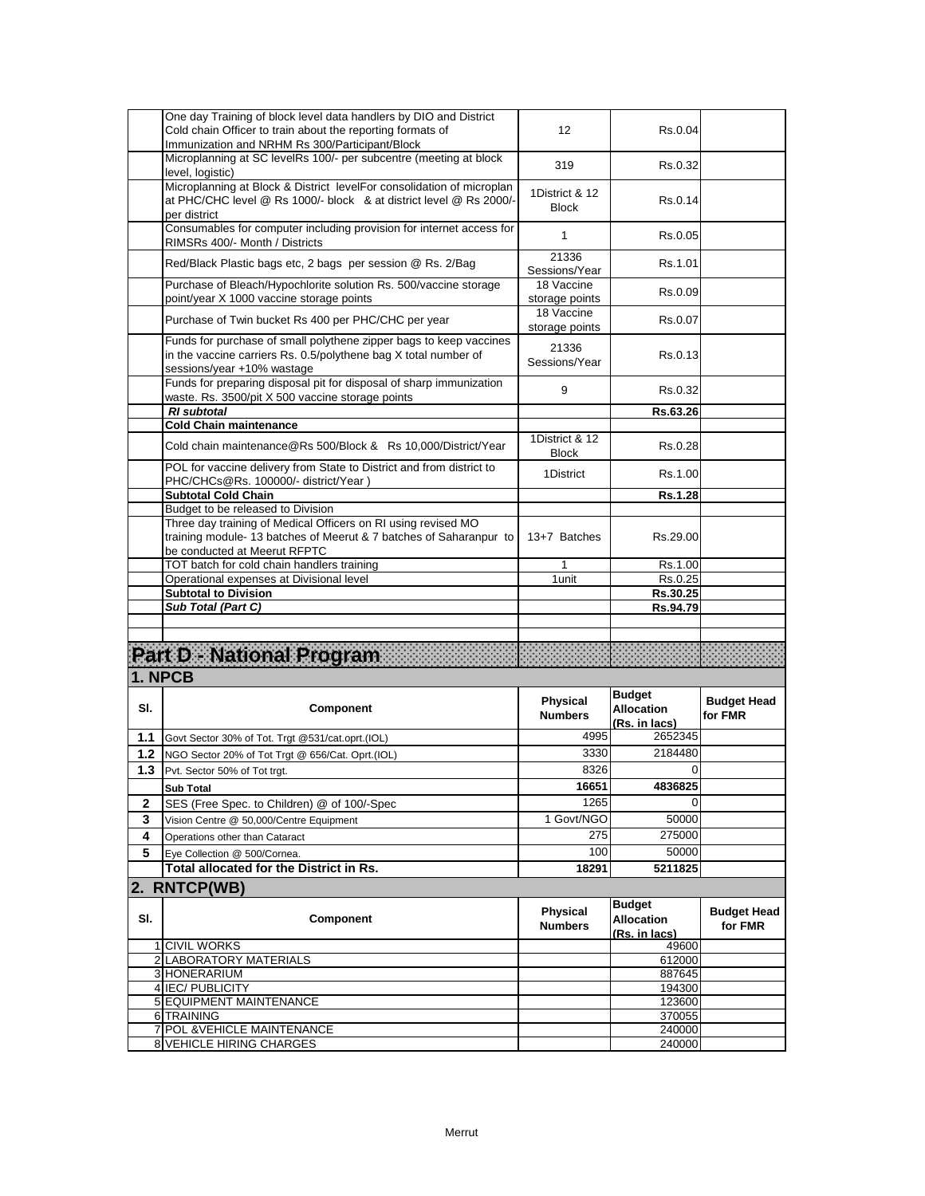|        | One day Training of block level data handlers by DIO and District<br>Cold chain Officer to train about the reporting formats of<br>Immunization and NRHM Rs 300/Participant/Block | 12                                | Rs.0.04                                             |                               |
|--------|-----------------------------------------------------------------------------------------------------------------------------------------------------------------------------------|-----------------------------------|-----------------------------------------------------|-------------------------------|
|        | Microplanning at SC levelRs 100/- per subcentre (meeting at block<br>level, logistic)                                                                                             | 319                               | Rs.0.32                                             |                               |
|        | Microplanning at Block & District levelFor consolidation of microplan<br>at PHC/CHC level @ Rs 1000/- block & at district level @ Rs 2000/-<br>per district                       | 1District & 12<br><b>Block</b>    | Rs.0.14                                             |                               |
|        | Consumables for computer including provision for internet access for<br>RIMSRs 400/- Month / Districts                                                                            | $\mathbf{1}$                      | Rs.0.05                                             |                               |
|        | Red/Black Plastic bags etc, 2 bags per session @ Rs. 2/Bag                                                                                                                        | 21336<br>Sessions/Year            | Rs.1.01                                             |                               |
|        | Purchase of Bleach/Hypochlorite solution Rs. 500/vaccine storage<br>point/year X 1000 vaccine storage points                                                                      | 18 Vaccine<br>storage points      | Rs.0.09                                             |                               |
|        | Purchase of Twin bucket Rs 400 per PHC/CHC per year                                                                                                                               | 18 Vaccine<br>storage points      | Rs.0.07                                             |                               |
|        | Funds for purchase of small polythene zipper bags to keep vaccines<br>in the vaccine carriers Rs. 0.5/polythene bag X total number of<br>sessions/year +10% wastage               | 21336<br>Sessions/Year            | Rs.0.13                                             |                               |
|        | Funds for preparing disposal pit for disposal of sharp immunization<br>waste. Rs. 3500/pit X 500 vaccine storage points                                                           | 9                                 | Rs.0.32                                             |                               |
|        | <b>RI</b> subtotal                                                                                                                                                                |                                   | Rs.63.26                                            |                               |
|        | <b>Cold Chain maintenance</b><br>Cold chain maintenance@Rs 500/Block & Rs 10,000/District/Year                                                                                    | 1District & 12                    | Rs.0.28                                             |                               |
|        | POL for vaccine delivery from State to District and from district to<br>PHC/CHCs@Rs. 100000/- district/Year)                                                                      | <b>Block</b><br>1District         | Rs.1.00                                             |                               |
|        | Subtotal Cold Chain                                                                                                                                                               |                                   | Rs.1.28                                             |                               |
|        | Budget to be released to Division                                                                                                                                                 |                                   |                                                     |                               |
|        | Three day training of Medical Officers on RI using revised MO<br>training module-13 batches of Meerut & 7 batches of Saharanpur to<br>be conducted at Meerut RFPTC                | 13+7 Batches                      | Rs.29.00                                            |                               |
|        | TOT batch for cold chain handlers training                                                                                                                                        | 1                                 | Rs.1.00                                             |                               |
|        | Operational expenses at Divisional level                                                                                                                                          | 1 unit                            | Rs.0.25                                             |                               |
|        | <b>Subtotal to Division</b>                                                                                                                                                       |                                   | Rs.30.25                                            |                               |
|        | Sub Total (Part C)                                                                                                                                                                |                                   | Rs.94.79                                            |                               |
|        | Part D - National Program                                                                                                                                                         |                                   |                                                     |                               |
|        | 1. NPCB                                                                                                                                                                           |                                   |                                                     |                               |
| SI.    | Component                                                                                                                                                                         | Physical<br><b>Numbers</b>        | <b>Budget</b><br><b>Allocation</b><br>(Rs. in lacs) | <b>Budget Head</b><br>for FMR |
| 1.1    | Govt Sector 30% of Tot. Trgt @531/cat.oprt.(IOL)                                                                                                                                  | 4995                              | 2652345                                             |                               |
| $1.2$  | NGO Sector 20% of Tot Trgt @ 656/Cat. Oprt.(IOL)                                                                                                                                  | 3330                              | 2184480                                             |                               |
| 1.3    | Pvt. Sector 50% of Tot trgt.                                                                                                                                                      | 8326                              | $\mathbf 0$                                         |                               |
| 2      | Sub Total                                                                                                                                                                         | 16651<br>1265                     | 4836825<br>$\Omega$                                 |                               |
|        | SES (Free Spec. to Children) @ of 100/-Spec                                                                                                                                       | 1 Govt/NGO                        | 50000                                               |                               |
| 3<br>4 | Vision Centre @ 50,000/Centre Equipment<br>Operations other than Cataract                                                                                                         | 275                               | 275000                                              |                               |
| 5      | Eye Collection @ 500/Cornea.                                                                                                                                                      | 100                               | 50000                                               |                               |
|        | Total allocated for the District in Rs.                                                                                                                                           | 18291                             | 5211825                                             |                               |
|        | 2. RNTCP(WB)                                                                                                                                                                      |                                   |                                                     |                               |
| SI.    | Component                                                                                                                                                                         | <b>Physical</b><br><b>Numbers</b> | <b>Budget</b><br><b>Allocation</b><br>(Rs. in lacs) | <b>Budget Head</b><br>for FMR |
|        | <b>1 CIVIL WORKS</b>                                                                                                                                                              |                                   | 49600                                               |                               |
|        | 2 LABORATORY MATERIALS<br>3 HONERARIUM                                                                                                                                            |                                   | 612000                                              |                               |
|        | 4 IEC/PUBLICITY                                                                                                                                                                   |                                   | 887645<br>194300                                    |                               |
|        |                                                                                                                                                                                   |                                   |                                                     |                               |
|        | 5 EQUIPMENT MAINTENANCE                                                                                                                                                           |                                   | 123600                                              |                               |
|        | 6 TRAINING                                                                                                                                                                        |                                   | 370055                                              |                               |
|        | 7 POL & VEHICLE MAINTENANCE<br>8 VEHICLE HIRING CHARGES                                                                                                                           |                                   | 240000<br>240000                                    |                               |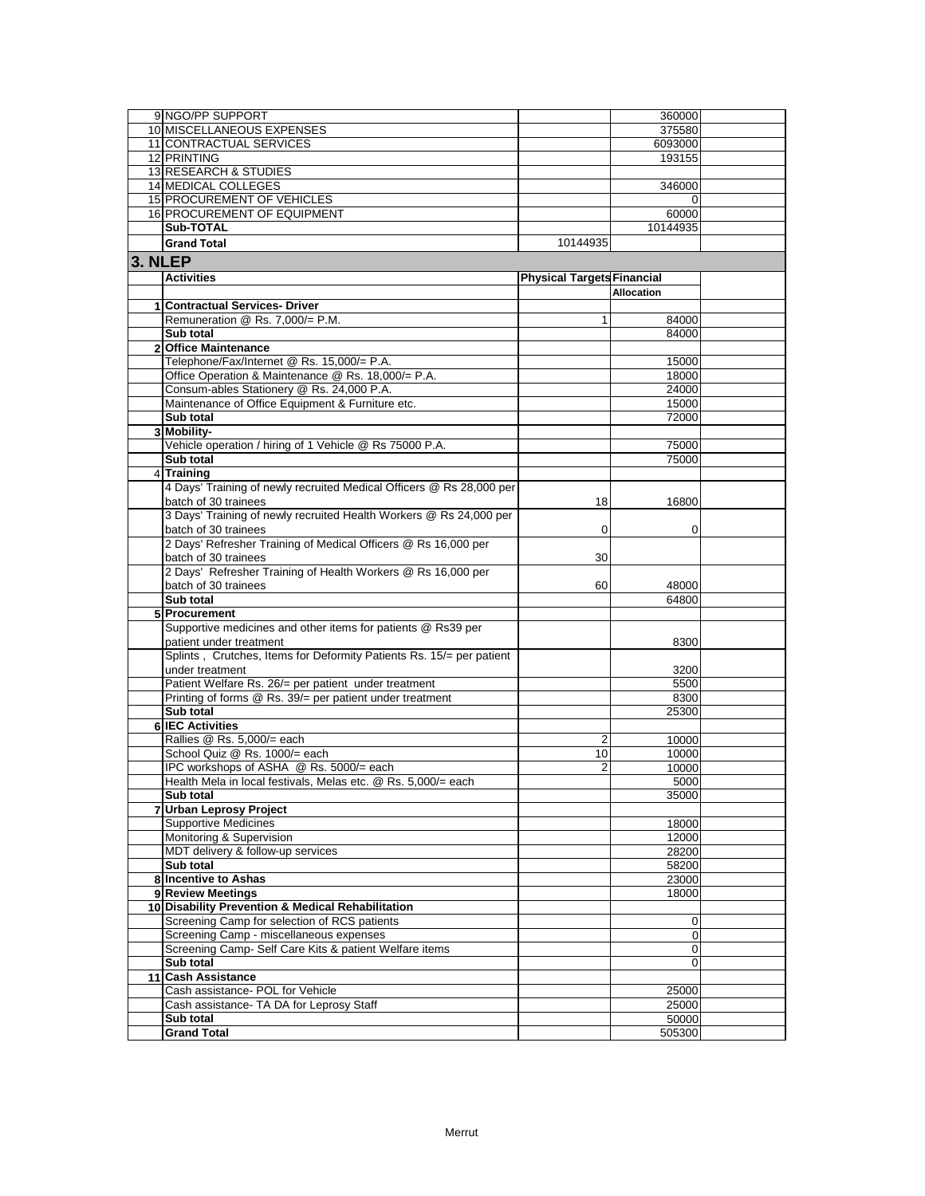|         | 9 NGO/PP SUPPORT                                                     |                                   | 360000     |  |
|---------|----------------------------------------------------------------------|-----------------------------------|------------|--|
|         | 10 MISCELLANEOUS EXPENSES                                            |                                   | 375580     |  |
|         | 11 CONTRACTUAL SERVICES                                              |                                   | 6093000    |  |
|         | 12 PRINTING                                                          |                                   | 193155     |  |
|         | 13 RESEARCH & STUDIES                                                |                                   |            |  |
|         | <b>14 MEDICAL COLLEGES</b>                                           |                                   | 346000     |  |
|         | <b>15 PROCUREMENT OF VEHICLES</b>                                    |                                   |            |  |
|         | 16 PROCUREMENT OF EQUIPMENT                                          |                                   | 60000      |  |
|         | Sub-TOTAL                                                            |                                   |            |  |
|         |                                                                      |                                   | 10144935   |  |
|         | <b>Grand Total</b>                                                   | 10144935                          |            |  |
| 3. NLEP |                                                                      |                                   |            |  |
|         | <b>Activities</b>                                                    | <b>Physical Targets Financial</b> |            |  |
|         |                                                                      |                                   | Allocation |  |
|         | 1 Contractual Services- Driver                                       |                                   |            |  |
|         | Remuneration @ Rs. 7,000/= P.M.                                      | 1                                 | 84000      |  |
|         | Sub total                                                            |                                   | 84000      |  |
|         | 2 Office Maintenance                                                 |                                   |            |  |
|         | Telephone/Fax/Internet @ Rs. 15,000/= P.A.                           |                                   | 15000      |  |
|         | Office Operation & Maintenance @ Rs. 18,000/= P.A.                   |                                   | 18000      |  |
|         | Consum-ables Stationery @ Rs. 24,000 P.A.                            |                                   | 24000      |  |
|         | Maintenance of Office Equipment & Furniture etc.                     |                                   | 15000      |  |
|         | Sub total                                                            |                                   | 72000      |  |
|         | 3 Mobility-                                                          |                                   |            |  |
|         | Vehicle operation / hiring of 1 Vehicle @ Rs 75000 P.A.              |                                   | 75000      |  |
|         | Sub total                                                            |                                   | 75000      |  |
|         | 4 Training                                                           |                                   |            |  |
|         | 4 Days' Training of newly recruited Medical Officers @ Rs 28,000 per |                                   |            |  |
|         | batch of 30 trainees                                                 |                                   |            |  |
|         |                                                                      | 18                                | 16800      |  |
|         | 3 Days' Training of newly recruited Health Workers @ Rs 24,000 per   |                                   |            |  |
|         | batch of 30 trainees                                                 | 0                                 | 0          |  |
|         | 2 Days' Refresher Training of Medical Officers @ Rs 16,000 per       |                                   |            |  |
|         | batch of 30 trainees                                                 | 30                                |            |  |
|         | 2 Days' Refresher Training of Health Workers @ Rs 16,000 per         |                                   |            |  |
|         | batch of 30 trainees                                                 | 60                                | 48000      |  |
|         | Sub total                                                            |                                   | 64800      |  |
|         | 5 Procurement                                                        |                                   |            |  |
|         | Supportive medicines and other items for patients @ Rs39 per         |                                   |            |  |
|         | patient under treatment                                              |                                   | 8300       |  |
|         | Splints, Crutches, Items for Deformity Patients Rs. 15/= per patient |                                   |            |  |
|         | under treatment                                                      |                                   | 3200       |  |
|         | Patient Welfare Rs. 26/= per patient under treatment                 |                                   | 5500       |  |
|         | Printing of forms @ Rs. 39/= per patient under treatment             |                                   | 8300       |  |
|         | Sub total                                                            |                                   | 25300      |  |
|         | <b>6 IEC Activities</b>                                              |                                   |            |  |
|         | Rallies @ Rs. 5,000/= each                                           | 2                                 | 10000      |  |
|         | School Quiz @ Rs. 1000/= each                                        | 10                                | 10000      |  |
|         | IPC workshops of ASHA @ Rs. 5000/= each                              | 2                                 | 10000      |  |
|         | Health Mela in local festivals. Melas etc. @ Rs. 5.000/= each        |                                   | 5000       |  |
|         | Sub total                                                            |                                   | 35000      |  |
|         | 7 Urban Leprosy Project                                              |                                   |            |  |
|         | <b>Supportive Medicines</b>                                          |                                   | 18000      |  |
|         | Monitoring & Supervision                                             |                                   | 12000      |  |
|         | MDT delivery & follow-up services                                    |                                   | 28200      |  |
|         | Sub total                                                            |                                   | 58200      |  |
|         | 8 Incentive to Ashas                                                 |                                   | 23000      |  |
|         | 9 Review Meetings                                                    |                                   | 18000      |  |
|         | 10 Disability Prevention & Medical Rehabilitation                    |                                   |            |  |
|         | Screening Camp for selection of RCS patients                         |                                   | 0          |  |
|         | Screening Camp - miscellaneous expenses                              |                                   | 0          |  |
|         | Screening Camp- Self Care Kits & patient Welfare items               |                                   | 0          |  |
|         | Sub total                                                            |                                   | 0          |  |
|         | 11 Cash Assistance                                                   |                                   |            |  |
|         | Cash assistance- POL for Vehicle                                     |                                   | 25000      |  |
|         | Cash assistance- TA DA for Leprosy Staff                             |                                   | 25000      |  |
|         | Sub total                                                            |                                   | 50000      |  |
|         | <b>Grand Total</b>                                                   |                                   | 505300     |  |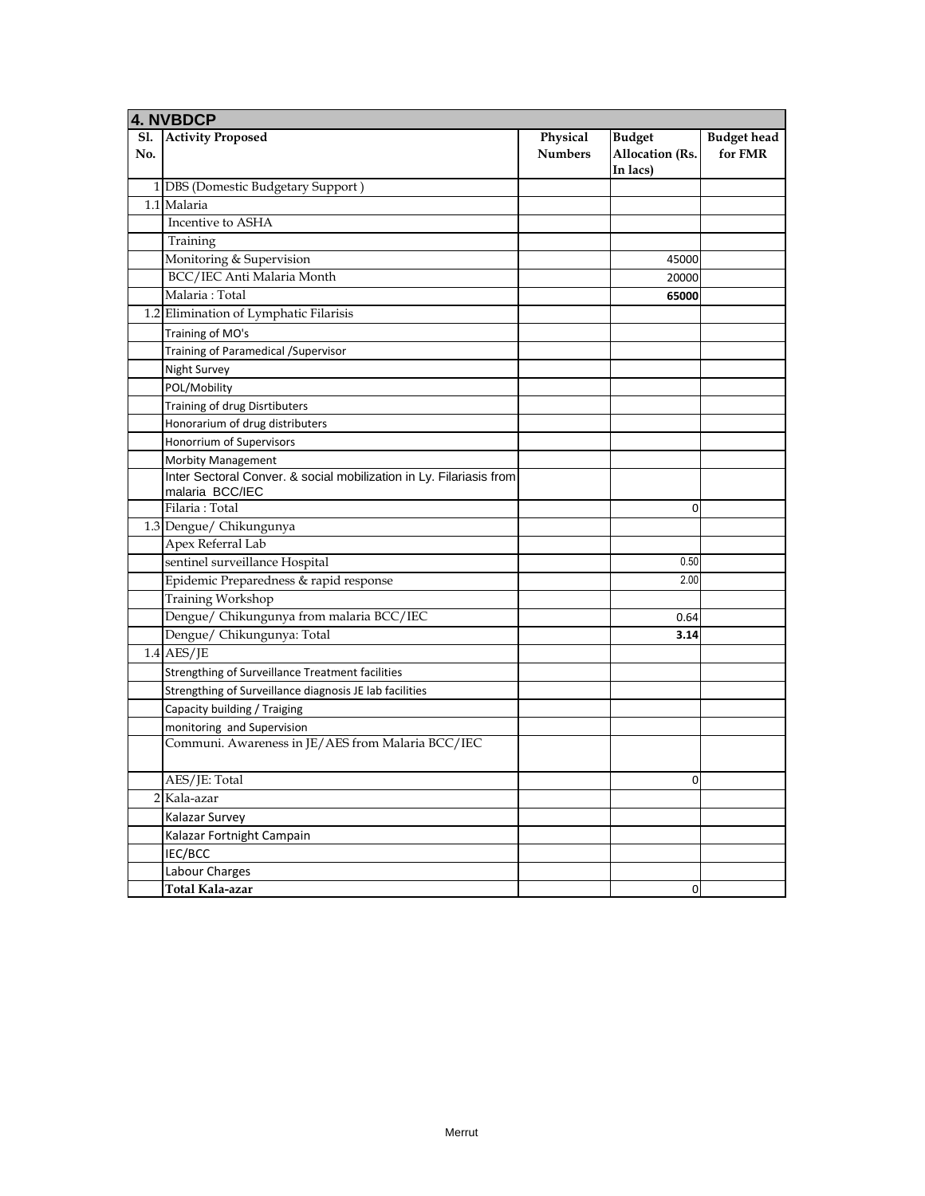|            | <b>4. NVBDCP</b>                                                    |                            |                                                     |                               |
|------------|---------------------------------------------------------------------|----------------------------|-----------------------------------------------------|-------------------------------|
| Sl.<br>No. | <b>Activity Proposed</b>                                            | Physical<br><b>Numbers</b> | <b>Budget</b><br><b>Allocation (Rs.</b><br>In lacs) | <b>Budget head</b><br>for FMR |
|            | 1 DBS (Domestic Budgetary Support)                                  |                            |                                                     |                               |
|            | 1.1 Malaria                                                         |                            |                                                     |                               |
|            | Incentive to ASHA                                                   |                            |                                                     |                               |
|            | Training                                                            |                            |                                                     |                               |
|            | Monitoring & Supervision                                            |                            | 45000                                               |                               |
|            | BCC/IEC Anti Malaria Month                                          |                            | 20000                                               |                               |
|            | Malaria: Total                                                      |                            | 65000                                               |                               |
|            | 1.2 Elimination of Lymphatic Filarisis                              |                            |                                                     |                               |
|            | Training of MO's                                                    |                            |                                                     |                               |
|            | Training of Paramedical / Supervisor                                |                            |                                                     |                               |
|            | Night Survey                                                        |                            |                                                     |                               |
|            | POL/Mobility                                                        |                            |                                                     |                               |
|            | Training of drug Disrtibuters                                       |                            |                                                     |                               |
|            | Honorarium of drug distributers                                     |                            |                                                     |                               |
|            | Honorrium of Supervisors                                            |                            |                                                     |                               |
|            | Morbity Management                                                  |                            |                                                     |                               |
|            | Inter Sectoral Conver. & social mobilization in Ly. Filariasis from |                            |                                                     |                               |
|            | malaria BCC/IEC                                                     |                            |                                                     |                               |
|            | Filaria: Total                                                      |                            | $\mathbf 0$                                         |                               |
|            | 1.3 Dengue/ Chikungunya                                             |                            |                                                     |                               |
|            | Apex Referral Lab                                                   |                            |                                                     |                               |
|            | sentinel surveillance Hospital                                      |                            | 0.50                                                |                               |
|            | Epidemic Preparedness & rapid response                              |                            | 2.00                                                |                               |
|            | <b>Training Workshop</b>                                            |                            |                                                     |                               |
|            | Dengue/ Chikungunya from malaria BCC/IEC                            |                            | 0.64                                                |                               |
|            | Dengue/ Chikungunya: Total                                          |                            | 3.14                                                |                               |
|            | $1.4$ AES/JE                                                        |                            |                                                     |                               |
|            | Strengthing of Surveillance Treatment facilities                    |                            |                                                     |                               |
|            | Strengthing of Surveillance diagnosis JE lab facilities             |                            |                                                     |                               |
|            | Capacity building / Traiging                                        |                            |                                                     |                               |
|            | monitoring and Supervision                                          |                            |                                                     |                               |
|            | Communi. Awareness in JE/AES from Malaria BCC/IEC                   |                            |                                                     |                               |
|            | AES/JE: Total                                                       |                            | $\mathbf 0$                                         |                               |
|            | 2 Kala-azar                                                         |                            |                                                     |                               |
|            | Kalazar Survey                                                      |                            |                                                     |                               |
|            | Kalazar Fortnight Campain                                           |                            |                                                     |                               |
|            | IEC/BCC                                                             |                            |                                                     |                               |
|            | Labour Charges                                                      |                            |                                                     |                               |
|            | Total Kala-azar                                                     |                            | $\mathbf 0$                                         |                               |